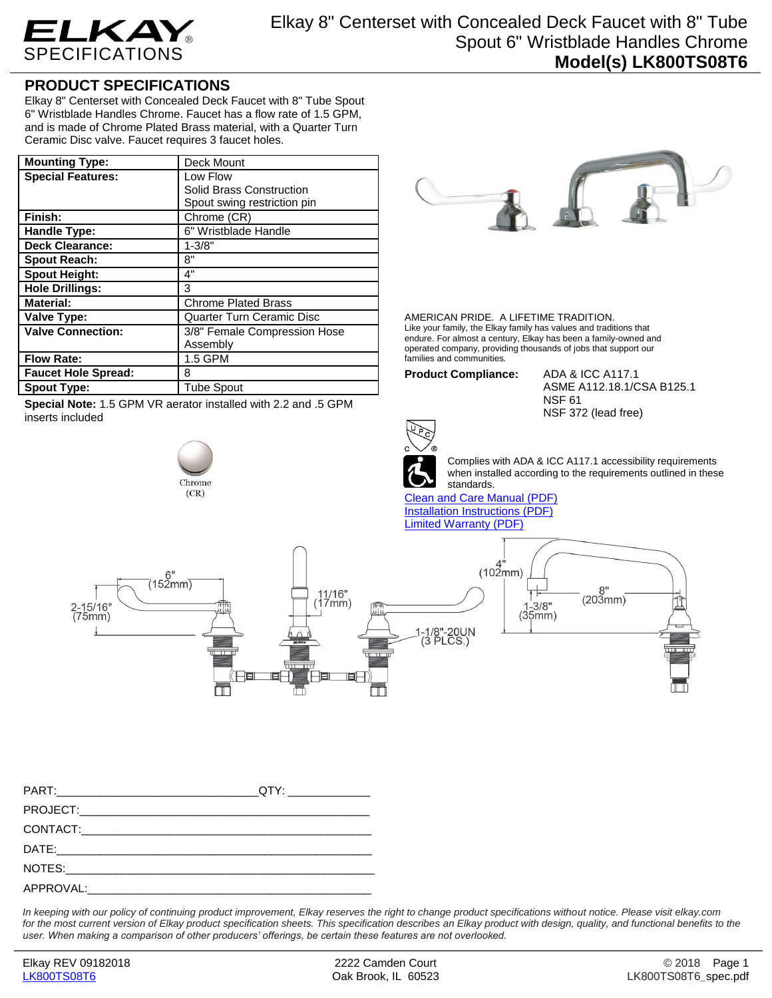

## **PRODUCT SPECIFICATIONS**

Elkay 8" Centerset with Concealed Deck Faucet with 8" Tube Spout 6" Wristblade Handles Chrome. Faucet has a flow rate of 1.5 GPM, and is made of Chrome Plated Brass material, with a Quarter Turn Ceramic Disc valve. Faucet requires 3 faucet holes.

| <b>Mounting Type:</b>      | Deck Mount                       |
|----------------------------|----------------------------------|
| <b>Special Features:</b>   | Low Flow                         |
|                            | Solid Brass Construction         |
|                            | Spout swing restriction pin      |
| Finish:                    | Chrome (CR)                      |
| Handle Type:               | 6" Wristblade Handle             |
| <b>Deck Clearance:</b>     | $1 - 3/8"$                       |
| <b>Spout Reach:</b>        | 8"                               |
| <b>Spout Height:</b>       | 4"                               |
| <b>Hole Drillings:</b>     | 3                                |
| <b>Material:</b>           | <b>Chrome Plated Brass</b>       |
| Valve Type:                | <b>Quarter Turn Ceramic Disc</b> |
| <b>Valve Connection:</b>   | 3/8" Female Compression Hose     |
|                            | Assembly                         |
| <b>Flow Rate:</b>          | 1.5 GPM                          |
| <b>Faucet Hole Spread:</b> | 8                                |
| <b>Spout Type:</b>         | <b>Tube Spout</b>                |

**Special Note:** 1.5 GPM VR aerator installed with 2.2 and .5 GPM inserts included

## Chrome  $(CR)$



AMERICAN PRIDE. A LIFETIME TRADITION. Like your family, the Elkay family has values and traditions that endure. For almost a century, Elkay has been a family-owned and operated company, providing thousands of jobs that support our families and communities.

**Product Compliance:** ADA & ICC A117.1

ASME A112.18.1/CSA B125.1 NSF 61 NSF 372 (lead free)



Complies with ADA & ICC A117.1 accessibility requirements when installed according to the requirements outlined in these standards.

[Clean and Care Manual \(PDF\)](http://www.elkay.com/wcsstore/lkdocs/care-cleaning-install-warranty-sheets/residential%20and%20commercial%20care%20%20cleaning.pdf) [Installation Instructions \(PDF\)](http://www.elkay.com/wcsstore/lkdocs/care-cleaning-install-warranty-sheets/a55483.pdf) [Limited Warranty](http://www.elkay.com/wcsstore/lkdocs/care-cleaning-install-warranty-sheets/commercial%20sinks%20and%20faucets%20warranty.pdf) (PDF)



*In keeping with our policy of continuing product improvement, Elkay reserves the right to change product specifications without notice. Please visit elkay.com*  for the most current version of Elkay product specification sheets. This specification describes an Elkay product with design, quality, and functional benefits to the *user. When making a comparison of other producers' offerings, be certain these features are not overlooked.*